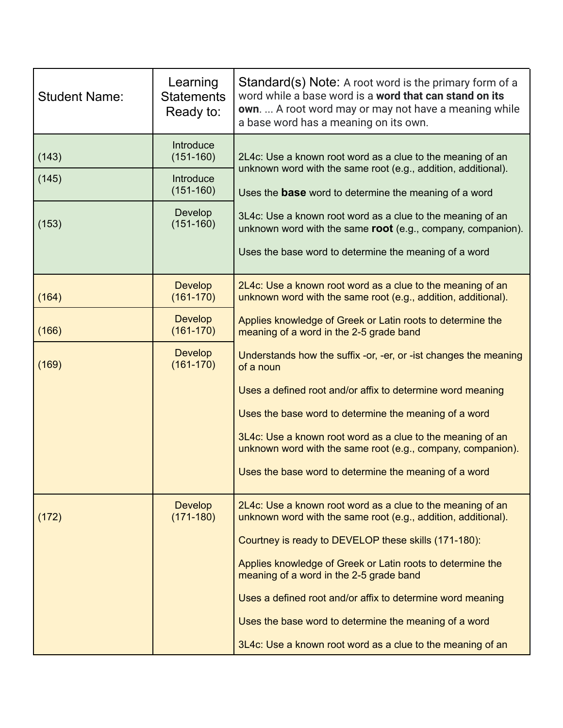| <b>Student Name:</b> | Learning<br><b>Statements</b><br>Ready to:             | Standard(s) Note: A root word is the primary form of a<br>word while a base word is a word that can stand on its<br>own.  A root word may or may not have a meaning while<br>a base word has a meaning on its own.                                                                                                                                                                                                                                                                |
|----------------------|--------------------------------------------------------|-----------------------------------------------------------------------------------------------------------------------------------------------------------------------------------------------------------------------------------------------------------------------------------------------------------------------------------------------------------------------------------------------------------------------------------------------------------------------------------|
| (143)<br>(145)       | Introduce<br>$(151-160)$<br>Introduce<br>$(151 - 160)$ | 2L4c: Use a known root word as a clue to the meaning of an<br>unknown word with the same root (e.g., addition, additional).<br>Uses the <b>base</b> word to determine the meaning of a word<br>3L4c: Use a known root word as a clue to the meaning of an<br>unknown word with the same root (e.g., company, companion).<br>Uses the base word to determine the meaning of a word                                                                                                 |
| (153)                | Develop<br>$(151 - 160)$                               |                                                                                                                                                                                                                                                                                                                                                                                                                                                                                   |
| (164)                | <b>Develop</b><br>$(161 - 170)$                        | 2L4c: Use a known root word as a clue to the meaning of an<br>unknown word with the same root (e.g., addition, additional).                                                                                                                                                                                                                                                                                                                                                       |
| (166)                | Develop<br>$(161 - 170)$                               | Applies knowledge of Greek or Latin roots to determine the<br>meaning of a word in the 2-5 grade band                                                                                                                                                                                                                                                                                                                                                                             |
| (169)                | <b>Develop</b><br>$(161 - 170)$                        | Understands how the suffix -or, -er, or -ist changes the meaning<br>of a noun<br>Uses a defined root and/or affix to determine word meaning<br>Uses the base word to determine the meaning of a word<br>3L4c: Use a known root word as a clue to the meaning of an<br>unknown word with the same root (e.g., company, companion).<br>Uses the base word to determine the meaning of a word                                                                                        |
| (172)                | <b>Develop</b><br>$(171 - 180)$                        | 2L4c: Use a known root word as a clue to the meaning of an<br>unknown word with the same root (e.g., addition, additional).<br>Courtney is ready to DEVELOP these skills (171-180):<br>Applies knowledge of Greek or Latin roots to determine the<br>meaning of a word in the 2-5 grade band<br>Uses a defined root and/or affix to determine word meaning<br>Uses the base word to determine the meaning of a word<br>3L4c: Use a known root word as a clue to the meaning of an |